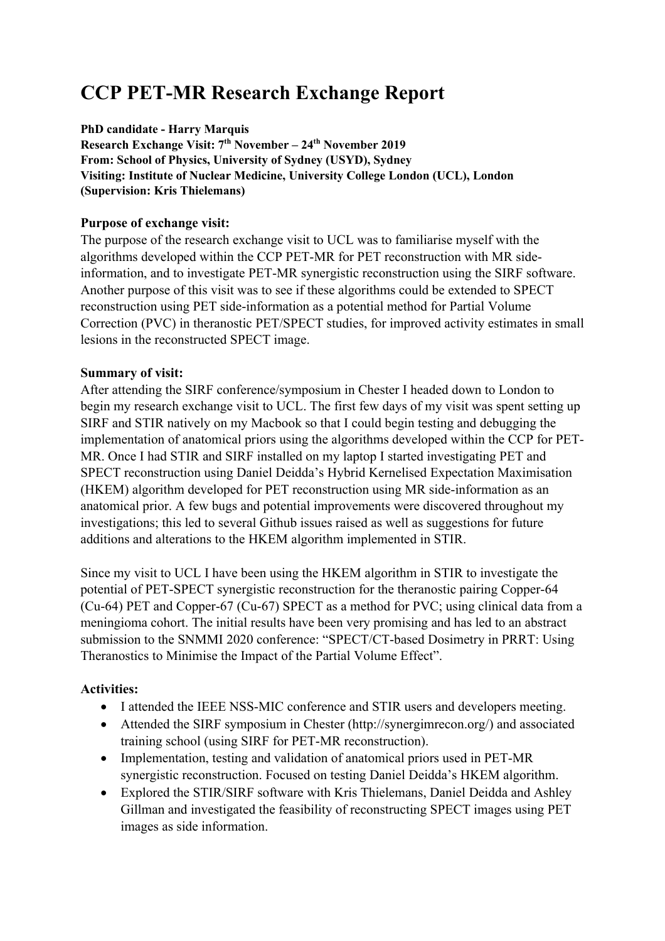# **CCP PET-MR Research Exchange Report**

**PhD candidate - Harry Marquis Research Exchange Visit: 7th November – 24th November 2019 From: School of Physics, University of Sydney (USYD), Sydney Visiting: Institute of Nuclear Medicine, University College London (UCL), London (Supervision: Kris Thielemans)**

## **Purpose of exchange visit:**

The purpose of the research exchange visit to UCL was to familiarise myself with the algorithms developed within the CCP PET-MR for PET reconstruction with MR sideinformation, and to investigate PET-MR synergistic reconstruction using the SIRF software. Another purpose of this visit was to see if these algorithms could be extended to SPECT reconstruction using PET side-information as a potential method for Partial Volume Correction (PVC) in theranostic PET/SPECT studies, for improved activity estimates in small lesions in the reconstructed SPECT image.

## **Summary of visit:**

After attending the SIRF conference/symposium in Chester I headed down to London to begin my research exchange visit to UCL. The first few days of my visit was spent setting up SIRF and STIR natively on my Macbook so that I could begin testing and debugging the implementation of anatomical priors using the algorithms developed within the CCP for PET-MR. Once I had STIR and SIRF installed on my laptop I started investigating PET and SPECT reconstruction using Daniel Deidda's Hybrid Kernelised Expectation Maximisation (HKEM) algorithm developed for PET reconstruction using MR side-information as an anatomical prior. A few bugs and potential improvements were discovered throughout my investigations; this led to several Github issues raised as well as suggestions for future additions and alterations to the HKEM algorithm implemented in STIR.

Since my visit to UCL I have been using the HKEM algorithm in STIR to investigate the potential of PET-SPECT synergistic reconstruction for the theranostic pairing Copper-64 (Cu-64) PET and Copper-67 (Cu-67) SPECT as a method for PVC; using clinical data from a meningioma cohort. The initial results have been very promising and has led to an abstract submission to the SNMMI 2020 conference: "SPECT/CT-based Dosimetry in PRRT: Using Theranostics to Minimise the Impact of the Partial Volume Effect".

## **Activities:**

- I attended the IEEE NSS-MIC conference and STIR users and developers meeting.
- Attended the SIRF symposium in Chester (http://synergimrecon.org/) and associated training school (using SIRF for PET-MR reconstruction).
- Implementation, testing and validation of anatomical priors used in PET-MR synergistic reconstruction. Focused on testing Daniel Deidda's HKEM algorithm.
- Explored the STIR/SIRF software with Kris Thielemans, Daniel Deidda and Ashley Gillman and investigated the feasibility of reconstructing SPECT images using PET images as side information.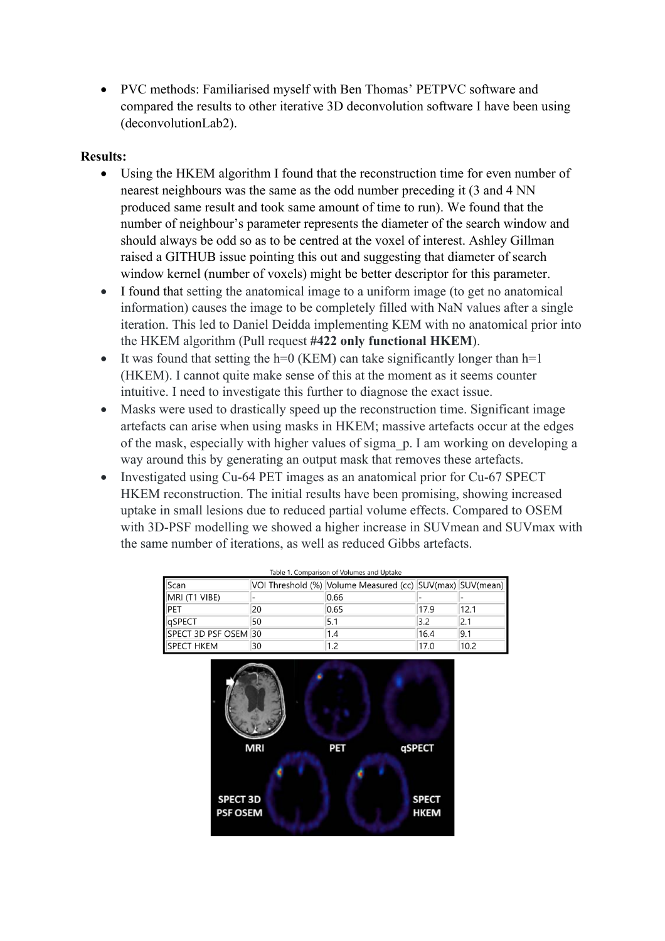• PVC methods: Familiarised myself with Ben Thomas' PETPVC software and compared the results to other iterative 3D deconvolution software I have been using (deconvolutionLab2).

#### **Results:**

- Using the HKEM algorithm I found that the reconstruction time for even number of nearest neighbours was the same as the odd number preceding it (3 and 4 NN produced same result and took same amount of time to run). We found that the number of neighbour's parameter represents the diameter of the search window and should always be odd so as to be centred at the voxel of interest. Ashley Gillman raised a GITHUB issue pointing this out and suggesting that diameter of search window kernel (number of voxels) might be better descriptor for this parameter.
- I found that setting the anatomical image to a uniform image (to get no anatomical information) causes the image to be completely filled with NaN values after a single iteration. This led to Daniel Deidda implementing KEM with no anatomical prior into the HKEM algorithm (Pull request **#422 only functional HKEM**).
- It was found that setting the  $h=0$  (KEM) can take significantly longer than  $h=1$ (HKEM). I cannot quite make sense of this at the moment as it seems counter intuitive. I need to investigate this further to diagnose the exact issue.
- Masks were used to drastically speed up the reconstruction time. Significant image artefacts can arise when using masks in HKEM; massive artefacts occur at the edges of the mask, especially with higher values of sigma\_p. I am working on developing a way around this by generating an output mask that removes these artefacts.
- Investigated using Cu-64 PET images as an anatomical prior for Cu-67 SPECT HKEM reconstruction. The initial results have been promising, showing increased uptake in small lesions due to reduced partial volume effects. Compared to OSEM with 3D-PSF modelling we showed a higher increase in SUVmean and SUVmax with the same number of iterations, as well as reduced Gibbs artefacts.

| Table 1. Comparison of Volumes and Uptake |    |                                                           |      |      |
|-------------------------------------------|----|-----------------------------------------------------------|------|------|
| Scan                                      |    | VOI Threshold (%) Volume Measured (cc) SUV(max) SUV(mean) |      |      |
| MRI (T1 VIBE)                             |    | 0.66                                                      |      |      |
| PET                                       | 20 | 0.65                                                      | 17.9 | 12.1 |
| qSPECT                                    | 50 | 5.1                                                       | 3.2  | 2.1  |
| SPECT 3D PSF OSEM 30                      |    | 1.4                                                       | 16.4 | 9.1  |
| <b>ISPECT HKEM</b>                        | 30 | 1.2                                                       | 17.0 | 10.2 |